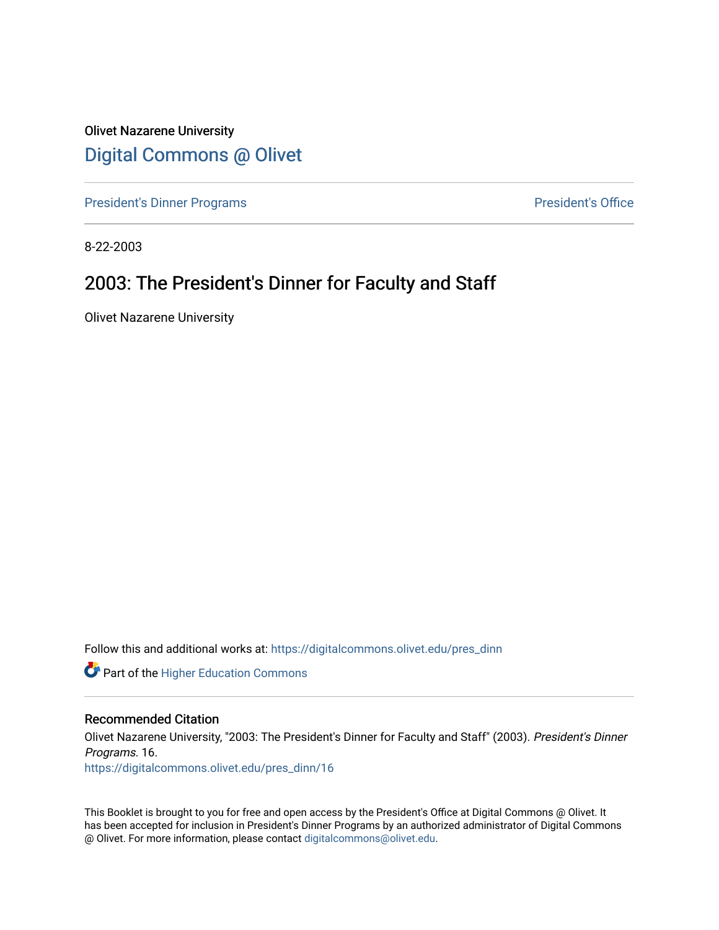Olivet Nazarene University [Digital Commons @ Olivet](https://digitalcommons.olivet.edu/)

[President's Dinner Programs](https://digitalcommons.olivet.edu/pres_dinn) **President's Office** 

8-22-2003

#### 2003: The President's Dinner for Faculty and Staff

Olivet Nazarene University

Follow this and additional works at: [https://digitalcommons.olivet.edu/pres\\_dinn](https://digitalcommons.olivet.edu/pres_dinn?utm_source=digitalcommons.olivet.edu%2Fpres_dinn%2F16&utm_medium=PDF&utm_campaign=PDFCoverPages)

**Part of the Higher Education Commons** 

#### Recommended Citation

Olivet Nazarene University, "2003: The President's Dinner for Faculty and Staff" (2003). President's Dinner Programs. 16.

[https://digitalcommons.olivet.edu/pres\\_dinn/16](https://digitalcommons.olivet.edu/pres_dinn/16?utm_source=digitalcommons.olivet.edu%2Fpres_dinn%2F16&utm_medium=PDF&utm_campaign=PDFCoverPages) 

This Booklet is brought to you for free and open access by the President's Office at Digital Commons @ Olivet. It has been accepted for inclusion in President's Dinner Programs by an authorized administrator of Digital Commons @ Olivet. For more information, please contact [digitalcommons@olivet.edu.](mailto:digitalcommons@olivet.edu)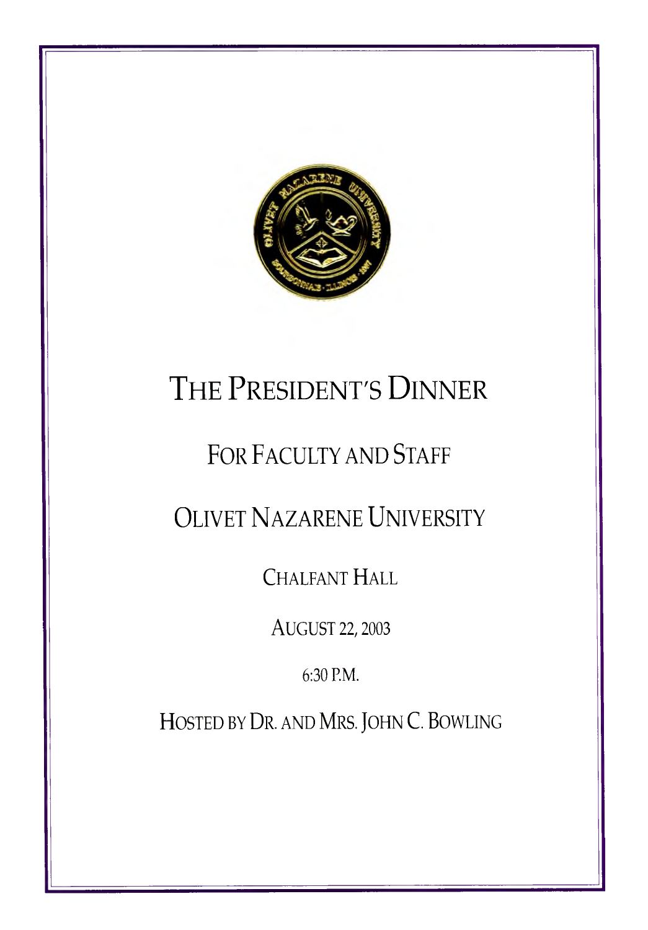

# **THE PRESIDENT'S DINNER**

# FOR FACULTY AND STAFF

# OLIVET NAZARENE UNIVERSITY

CHALFANT HALL

AUGUST 22, 2003

6:30 P.M.

HOSTED BY DR. AND MRS. JOHN C. BOWLING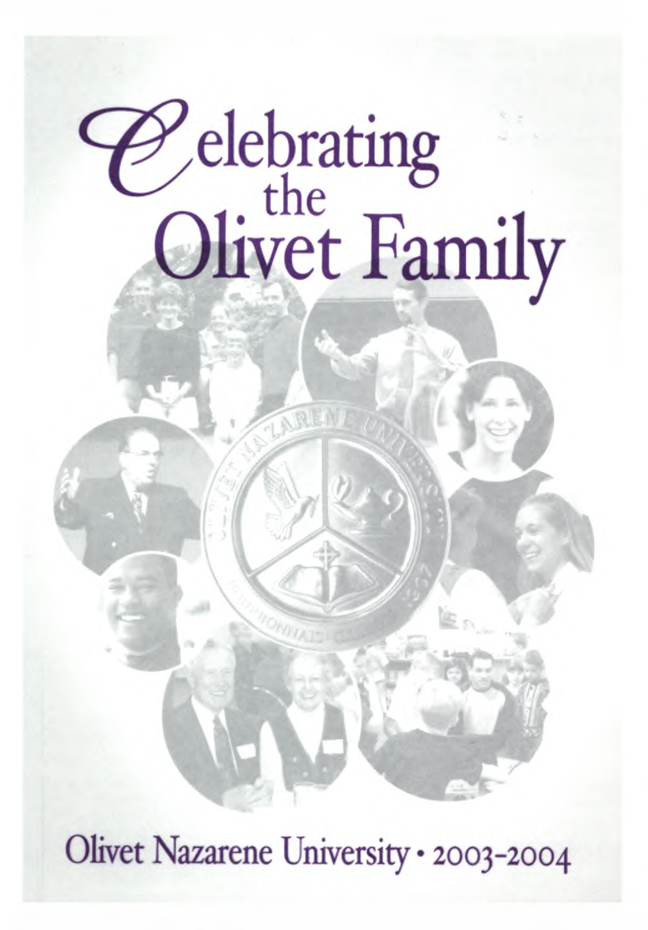# *Pelebrating*<br>Olivet Family

Olivet Nazarene University · 2003-2004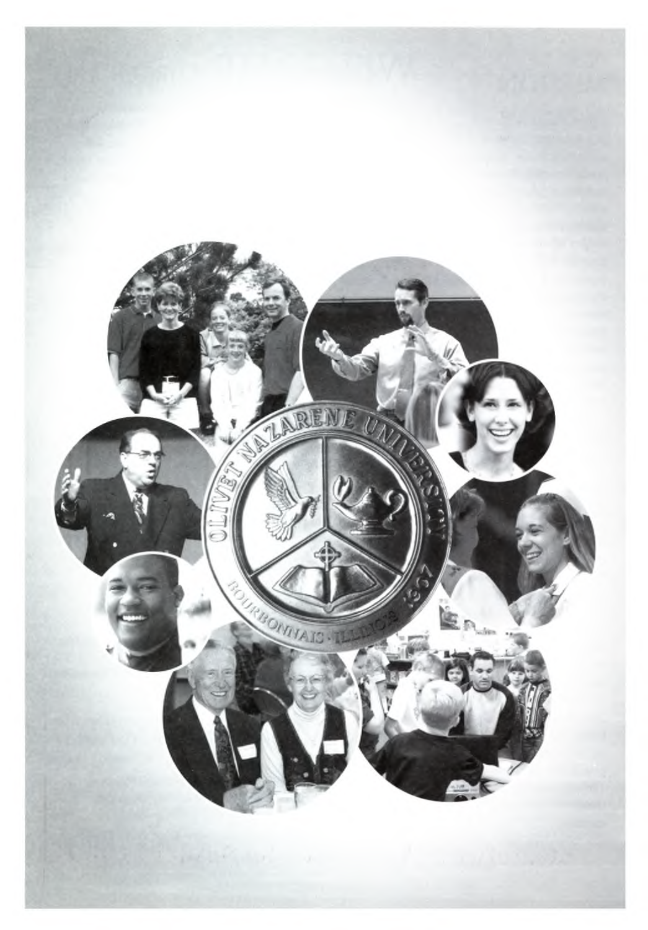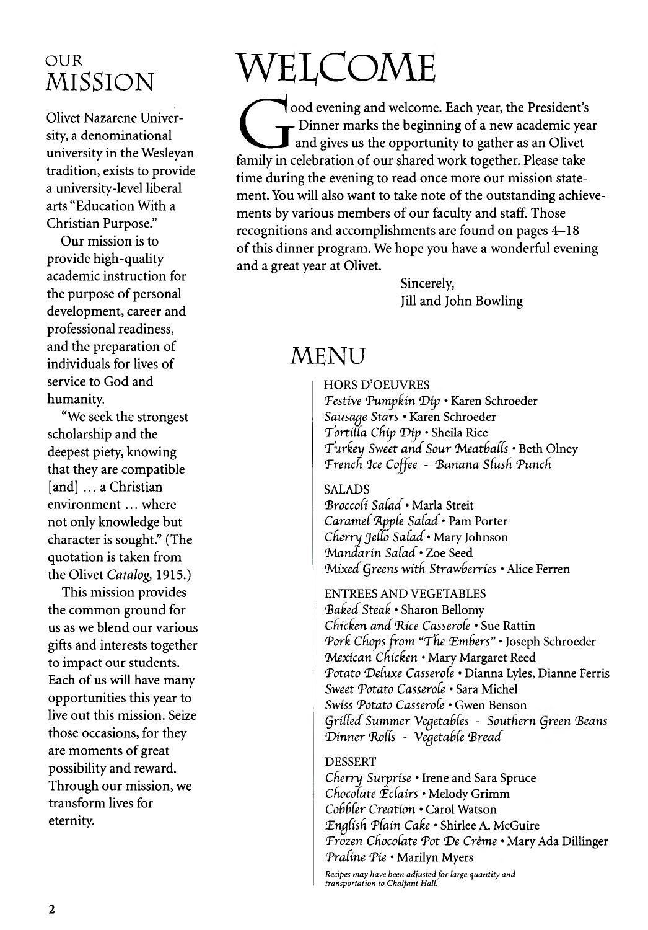#### OUR MISSION

Olivet Nazarene University, a denominational university in the Wesleyan tradition, exists to provide a university-level liberal arts "Education With a Christian Purpose."

Our mission is to provide high-quality academic instruction for the purpose of personal development, career and professional readiness, and the preparation of individuals for lives of service to God and humanity.

"We seek the strongest scholarship and the deepest piety, knowing that they are compatible [and] ... a Christian environment... where not only knowledge but character is sought." (The quotation is taken from the Olivet *Catalog,* 1915.)

This mission provides the common ground for us as we blend our various gifts and interests together to impact our students. Each of us will have many opportunities this year to live out this mission. Seize those occasions, for they are moments of great possibility and reward. Through our mission, we transform lives for eternity.

# WELCOME

 $\left(\begin{array}{c}\n\sqrt{16}\n\end{array}\right)$ <br> $\left(\begin{array}{c}\n\text{imily in a}\n\end{array}\right)$ ood evening and welcome. Each year, the President's - Dinner marks the beginning of a new academic year and gives us the opportunity to gather as an Olivet celebration of our shared work together. Please take time during the evening to read once more our mission statement. You will also want to take note of the outstanding achievements by various members of our faculty and staff. Those recognitions and accomplishments are found on pages 4-18 of this dinner program. We hope you have a wonderful evening and a great year at Olivet.

Sincerely, Jill and John Bowling

## MENU

#### HORS D'OEUVRES

*(Festive (Pumpkin (Dtp* • Karen Schroeder *Sausage Stars* • Karen Schroeder *T\*Ottilia Chip (Dip* • Sheila Rice Turkey Sweet and Sour Meatballs · Beth Olney *Trench Ice Coffee - (Banana Shush Tunch*

#### SALADS

*(Broccofi Safacf'* Marla Streit *Caramef (Appfe Safacf'* Pam Porter *Cherry Jeffo Safacf'* Mary Johnson *(Mandarin Safad'* Zoe Seed *(Mixed (greens with Strawberries* • Alice Ferren

ENTREES AND VEGETABLES

*(Baked Steak* • Sharon Bellomy *Chicken and Rice Casserole* • Sue Rattin *Tork Chops from "T 'he Tmhers"* • Joseph Schroeder *(Mexican Chicken* • Mary Margaret Reed *Totato (Defuxe Casserofe* • Dianna Lyles, Dianne Ferris *Sweet Totato Casserofe* • Sara Michel Swiss *Totato Casserofe* • Gwen Benson *(griffed Summer Vegetahfes - Southern (green (Beans (Dinner Toffs* - *Vegetahfe (Bread*

#### DESSERT

*Cherry Surprise* • Irene and Sara Spruce *Chocofate (Ecfairs* • Melody Grimm *Cohhfer Creation* • Carol Watson *Tngfish Tfain Cake* • Shirlee A. McGuire *Trozen Chocofate Tot (De Creme* • Mary Ada Dillinger *Trafine Tie* • Marilyn Myers

*Recipes m ay have been adjusted for large quantity and transportation to Chalfant Hall.*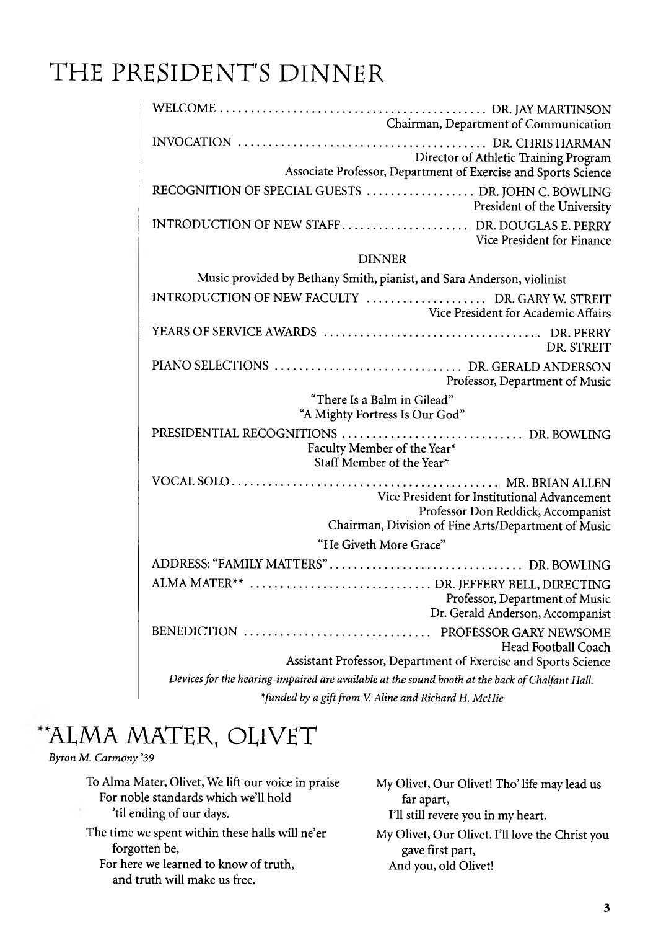## THE PRESIDENT'S DINNER

| Chairman, Department of Communication                                                                                                     |  |  |  |  |
|-------------------------------------------------------------------------------------------------------------------------------------------|--|--|--|--|
| Director of Athletic Training Program<br>Associate Professor, Department of Exercise and Sports Science                                   |  |  |  |  |
| RECOGNITION OF SPECIAL GUESTS  DR. JOHN C. BOWLING<br>President of the University                                                         |  |  |  |  |
| INTRODUCTION OF NEW STAFF DR. DOUGLAS E. PERRY<br>Vice President for Finance                                                              |  |  |  |  |
| <b>DINNER</b>                                                                                                                             |  |  |  |  |
| Music provided by Bethany Smith, pianist, and Sara Anderson, violinist                                                                    |  |  |  |  |
| INTRODUCTION OF NEW FACULTY  DR. GARY W. STREIT<br>Vice President for Academic Affairs                                                    |  |  |  |  |
| DR. STREIT                                                                                                                                |  |  |  |  |
| Professor, Department of Music                                                                                                            |  |  |  |  |
| "There Is a Balm in Gilead"<br>"A Mighty Fortress Is Our God"                                                                             |  |  |  |  |
| Faculty Member of the Year*<br>Staff Member of the Year*                                                                                  |  |  |  |  |
| Vice President for Institutional Advancement<br>Professor Don Reddick, Accompanist<br>Chairman, Division of Fine Arts/Department of Music |  |  |  |  |
| "He Giveth More Grace"                                                                                                                    |  |  |  |  |
|                                                                                                                                           |  |  |  |  |
| ALMA MATER**  DR. JEFFERY BELL, DIRECTING<br>Professor, Department of Music<br>Dr. Gerald Anderson, Accompanist                           |  |  |  |  |
| Head Football Coach                                                                                                                       |  |  |  |  |
| Assistant Professor, Department of Exercise and Sports Science                                                                            |  |  |  |  |
| Devices for the hearing-impaired are available at the sound booth at the back of Chalfant Hall.                                           |  |  |  |  |
| *funded by a gift from V. Aline and Richard H. McHie                                                                                      |  |  |  |  |

## \*ALMA MATER, OLIVET

#### Byron M. Carmony '39

- To Alma Mater, Olivet, We lift our voice in praise For noble standards which we'll hold 'til ending of our days.
- The time we spent within these halls will ne'er forgotten be, For here we learned to know of truth, and truth will make us free.
- My Olivet, Our Olivet! Tho' life may lead us far apart, I'll still revere you in my heart.
- My Olivet, Our Olivet. I'll love the Christ you gave first part, And you, old Olivet!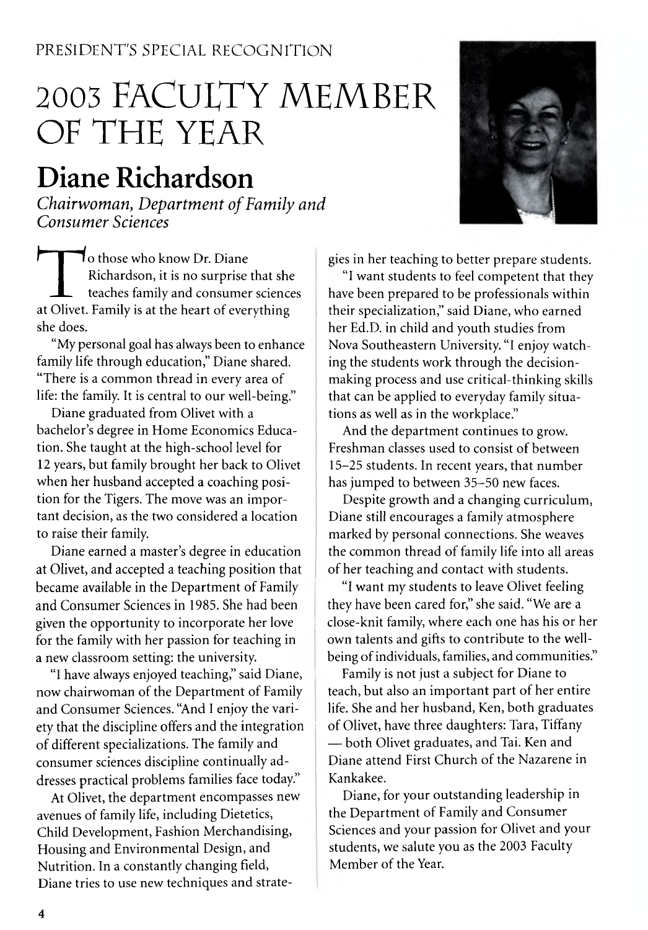#### PRESIDENT'S SPECIAL RECOGNITION

# 2003 FACULTY MEMBER OF THE YEAR

# Diane Richardson

*Chairwoman, Department of Family and Consumer Sciences*

I<br>at Olivet<br>she does **T**o those who know Dr. Diane Richardson, it is no surprise that she teaches family and consumer sciences . Family is at the heart of everything  $\qquad$  the she does.

"My personal goal has always been to enhance family life through education," Diane shared. "There is a common thread in every area of life: the family. It is central to our well-being."

Diane graduated from Olivet with a bachelor's degree in Home Economics Education. She taught at the high-school level for 12 years, but family brought her back to Olivet when her husband accepted a coaching position for the Tigers. The move was an important decision, as the two considered a location to raise their family.

Diane earned a master's degree in education at Olivet, and accepted a teaching position that became available in the Department of Family j and Consumer Sciences in 1985. She had been given the opportunity to incorporate her love i for the family with her passion for teaching in a new classroom setting: the university.

"I have always enjoyed teaching," said Diane, I now chairwoman of the Department of Family and Consumer Sciences. "And I enjoy the variety that the discipline offers and the integration i of different specializations. The family and consumer sciences discipline continually addresses practical problems families face today."

At Olivet, the department encompasses new avenues of family life, including Dietetics, Child Development, Fashion Merchandising, Housing and Environmental Design, and Nutrition. In a constantly changing field, Diane tries to use new techniques and strate-



gies in her teaching to better prepare students.

"I want students to feel competent that they have been prepared to be professionals within their specialization," said Diane, who earned her Ed.D. in child and youth studies from Nova Southeastern University. "I enjoy watching the students work through the decisionmaking process and use critical-thinking skills that can be applied to everyday family situations as well as in the workplace."

And the department continues to grow. Freshman classes used to consist of between 15-25 students. In recent years, that number has jumped to between 35-50 new faces.

Despite growth and a changing curriculum, Diane still encourages a family atmosphere marked by personal connections. She weaves the common thread of family life into all areas of her teaching and contact with students.

"I want my students to leave Olivet feeling they have been cared for," she said. "We are a close-knit family, where each one has his or her own talents and gifts to contribute to the wellbeing of individuals, families, and communities."

Family is not just a subject for Diane to teach, but also an important part of her entire life. She and her husband, Ken, both graduates of Olivet, have three daughters: Tara, Tiffany — both Olivet graduates, and Tai. Ken and Diane attend First Church of the Nazarene in Kankakee.

Diane, for your outstanding leadership in the Department of Family and Consumer Sciences and your passion for Olivet and your students, we salute you as the 2003 Faculty Member of the Year.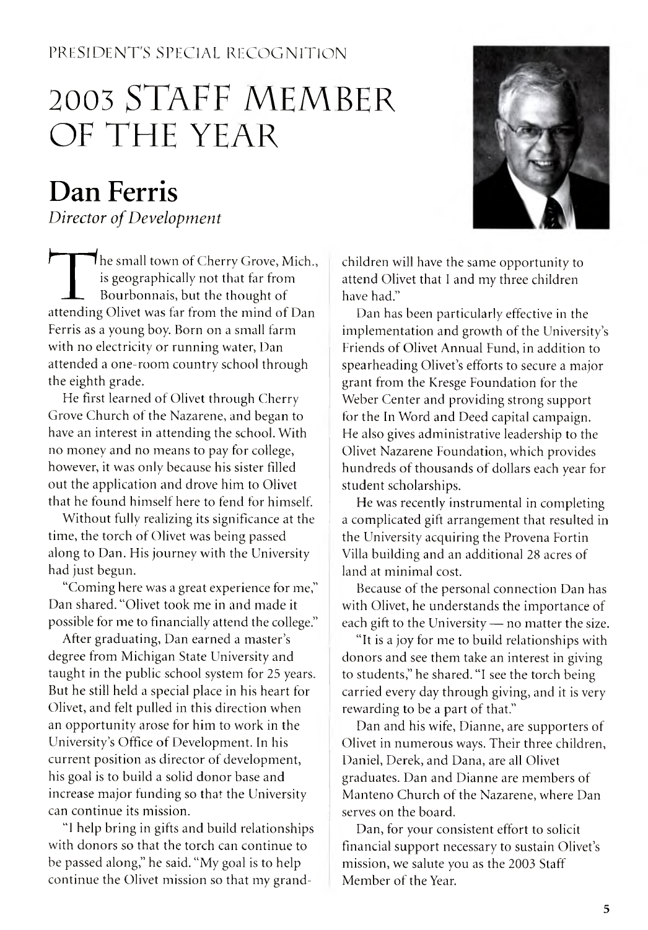#### PRESIDENT'S SPECIAL RECOGNITION

# 2003 STAFF MEMBER OF THE YEAR

## Dan Ferris

**Director of Development** 

The small town of Cherry Grove, Mich.,<br>
is geographically not that far from<br>
Bourbonnais, but the thought of<br>
attending Olivet was far from the mind of Dan<br>
Perris as a young boy Born on a small farm<br>
Ferris as a young boy The small town of Cherry Grove, Mich., is geographically not that far from Bourbonnais, but the thought of Ferris as a young boy. Born on a small farm with no electricity or running water, Dan attended a one-room country school through the eighth grade.

He first learned of Olivet through Cherry Grove Church of the Nazarene, and began to have an interest in attending the school. With no money and no means to pay for college, however, it was only because his sister filled out the application and drove him to Olivet that he found himself here to fend for himself.

Without fully realizing its significance at the time, the torch of Olivet was being passed along to Dan. His journey with the University had just begun.

"Coming here was a great experience for me," Dan shared. "Olivet took me in and made it possible for me to financially attend the college."

After graduating, Dan earned a master's degree from Michigan State University and taught in the public school system for 25 years. But he still held a special place in his heart for Olivet, and felt pulled in this direction when an opportunity arose for him to work in the University's Office of Development. In his current position as director of development, his goal is to build a solid donor base and increase major funding so that the University can continue its mission.

"I help bring in gifts and build relationships with donors so that the torch can continue to be passed along," he said. "My goal is to help continue the Olivet mission so that my grand-



children will have the same opportunity to attend Olivet that I and my three children have had."

Dan has been particularly effective in the implementation and growth of the University's Friends of Olivet Annual Fund, in addition to spearheading Olivet's efforts to secure a major grant from the Kresge Foundation for the Weber Center and providing strong support for the In Word and Deed capital campaign. He also gives administrative leadership to the Olivet Nazarene Foundation, which provides hundreds of thousands of dollars each year for student scholarships.

He was recently instrumental in completing a complicated gift arrangement that resulted in the University acquiring the Provena Fortin Villa building and an additional 28 acres of land at minimal cost.

Because of the personal connection Dan has with Olivet, he understands the importance of each gift to the University— no matter the size.

"It is a joy for me to build relationships with donors and see them take an interest in giving to students," he shared. "I see the torch being carried every day through giving, and it is very rewarding to be a part of that."

Dan and his wife, Dianne, are supporters of Olivet in numerous ways. Their three children, Daniel, Derek, and Dana, are all Olivet graduates. Dan and Dianne are members of Manteno Church of the Nazarene, where Dan serves on the board.

Dan, for your consistent effort to solicit financial support necessary to sustain Olivet's mission, we salute you as the 2003 Staff Member of the Year.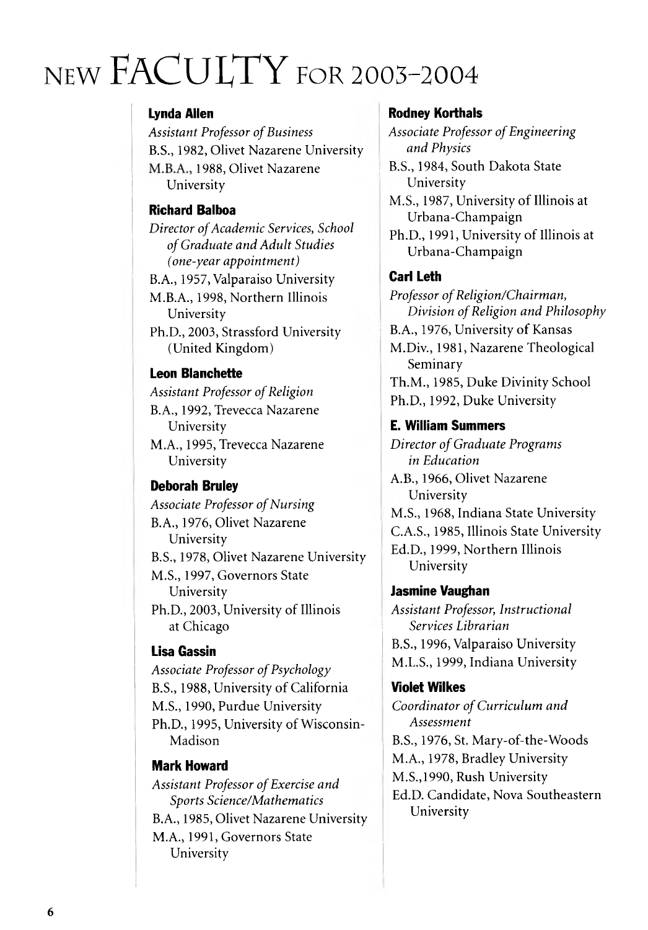# NEW FACULTY FOR 2003-2004

#### **Lynda Allen**

**Assistant Professor of Business** B.S., 1982, Olivet Nazarene University M.B.A., 1988, Olivet Nazarene University

#### **Richard Balboa**

 $D$ irector of Academic Services, School *o f Graduate and Adult Studies (one-year appointment)*

B.A., 1957, Valparaiso University M.B.A., 1998, Northern Illinois University

Ph.D., 2003, Strassford University (United Kingdom)

#### **Leon Blanchette**

**Assistant Professor of Religion** B.A., 1992, Trevecca Nazarene University

M.A., 1995, Trevecca Nazarene University

#### **Deborah Bruley**

*Associate Professor of Nursing* B.A., 1976, Olivet Nazarene University B.S., 1978, Olivet Nazarene University M.S., 1997, Governors State University Ph.D., 2003, University of Illinois at Chicago

#### **Lisa Gassin**

**Associate Professor of Psychology** B.S., 1988, University of California M.S., 1990, Purdue University Ph.D., 1995, University of Wisconsin-Madison

#### **Mark Howard**

**Assistant Professor of Exercise and** *Sports Science/Mathematics* B.A., 1985, Olivet Nazarene University M.A., 1991, Governors State University

#### **Rodney Korthals**

**Associate Professor of Engineering** *and Physics*

B.S., 1984, South Dakota State University

M.S., 1987, University of Illinois at Urbana-Champaign

Ph.D., 1991, University of Illinois at Urbana-Champaign

#### **Carl Leth**

*Professor of Religion/Chairman, Division of Religion and Philosophy* B.A., 1976, University of Kansas M.Div., 1981, Nazarene Theological Seminary Th.M., 1985, Duke Divinity School Ph.D., 1992, Duke University

#### **E. William Summers**

*Director of Graduate Programs in Education*

A.B., 1966, Olivet Nazarene University

M.S., 1968, Indiana State University C.A.S., 1985, Illinois State University Ed.D., 1999, Northern Illinois University

#### **Jasmine Vaughan**

*Assistant Professor, Instructional Services Librarian* B.S., 1996, Valparaiso University M.L.S., 1999, Indiana University

#### **Violet Wilkes**

*Coordinator of Curriculum and Assessment* B.S., 1976, St. Mary-of-the-Woods M.A., 1978, Bradley University M.S., 1990, Rush University Ed.D. Candidate, Nova Southeastern University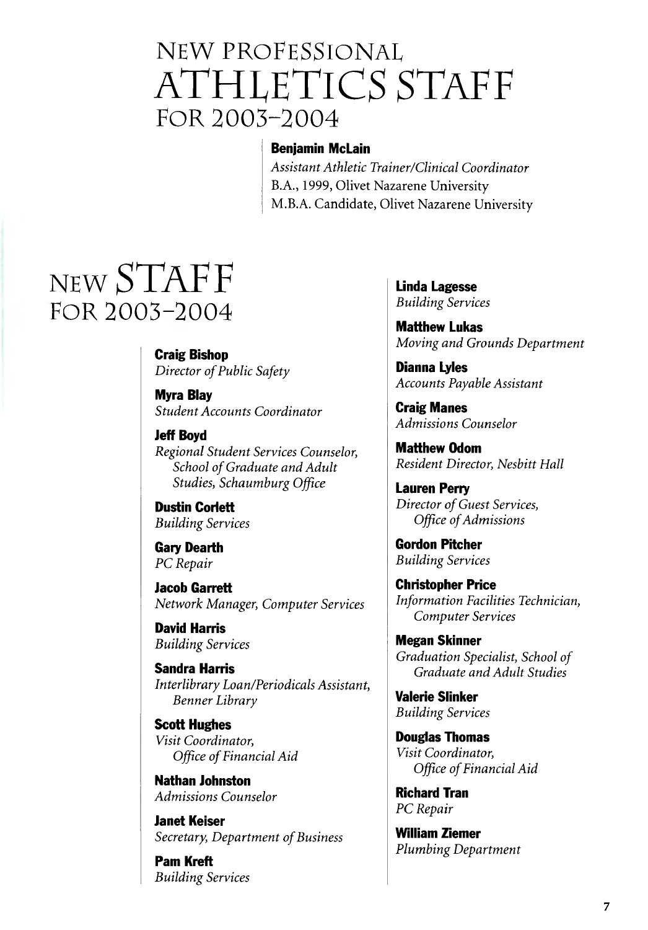# NEW PROFESSIONAL ATHLETICS STAFF FOR 2003-2004

#### **Benjamin McLain**

*Assistant Athletic Trainer/Clinical Coordinator* B.A., 1999, Olivet Nazarene University M.B.A. Candidate, Olivet Nazarene University

# NEW STAFF FOR 2003-2004

**Craig Bishop** *Director of Public Safety* 

**Myra Blay** *Student Accounts Coordinator*

**Jeff Boyd** *Regional Student Services Counselor, School of Graduate and Adult Studies, Schaumburg Office*

**Dustin Corlett** *Building Services*

**Gary Dearth** *PC Repair*

**Jacob Garrett** *Network Manager, Computer Services*

**David Harris** *Building Services*

**Sandra Harris** *Interlibrary Loan/Periodicals Assistant, Benner Library*

**Scott Hughes** *Visit Coordinator,* **Office of Financial Aid** 

**Nathan Johnston** *Admissions Counselor*

**Janet Keiser** *Secretary, Department of Business* 

**Pam Kreft** *Building Services* **Linda Lagesse** *Building Services*

**Matthew Lukas** *Moving and Grounds Department*

**Dianna Lyles** *Accounts Payable Assistant*

**Craig Manes** *Admissions Counselor*

**Matthew Odom** *Resident Director, Nesbitt Hall*

**Lauren Perry Director of Guest Services,** *Office of Admissions* 

**Gordon Pitcher** *Building Services*

**Christopher Price** *Information Facilities Technician, Computer Services*

**Megan Skinner Graduation Specialist, School of** *Graduate and Adult Studies*

**Valerie Slinker** *Building Services*

**Douglas Thomas** *Visit Coordinator, Office of Financial Aid* 

**Richard Tran** *PC Repair*

**William Ziemer** *Plumbing Department*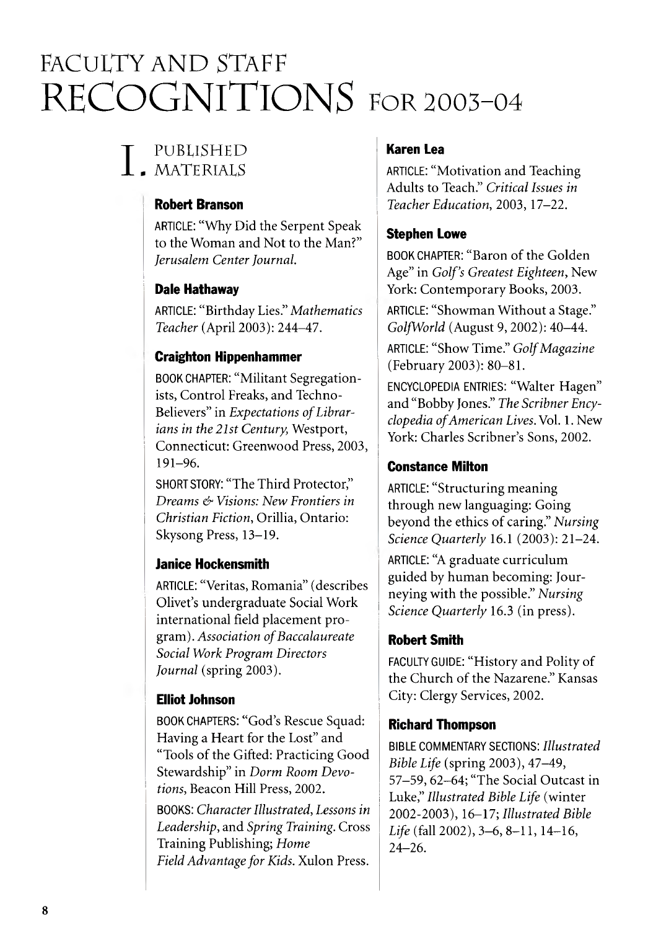# FACULTY AND STAFF RECOGNITIONS FOR 2003-04

#### **T** PUBLISHED  $\blacksquare$ . MATERIALS

#### **Robert Branson**

ARTICLE: "Why Did the Serpent Speak to the Woman and Not to the Man?" *Jerusalem Center Journal.*

#### **Dale Hathaway**

ARTICLE: "Birthday Lies." *Mathematics Teacher* (April 2003): 244-47.

#### **Craighton Hippenhammer**

BOOK CHAPTER: "Militant Segregationists, Control Freaks, and Techno-Believers" in *Expectations of Librarians in the 21st Century,* Westport, Connecticut: Greenwood Press, 2003, 191-96.

SHORT STORY: "The Third Protector," *Dreams & Visions: New Frontiers in Christian Fiction,* Orillia, Ontario: Skysong Press, 13-19.

#### **Janice Hockensmith**

ARTICLE: "Veritas, Romania" (describes Olivet's undergraduate Social Work international field placement program). Association of Baccalaureate *Social Work Program Directors Journal* (spring 2003).

#### **Elliot Johnson**

BOOK CHAPTERS: "God's Rescue Squad: Flaving a Heart for the Lost" and "Tools of the Gifted: Practicing Good Stewardship" in *Dorm Room Devotions,* Beacon Hill Press, 2002.

BOOKS: *Character Illustrated, Lessons in Leadership,* and *Sprmg Training.* Cross Training Publishing; *Home Field Advantage for Kids.* Xulon Press.

#### **Karen Lea**

ARTICLE: "Motivation and Teaching Adults to Teach." *Critical Issues in Teacher Education,* 2003,17-22.

#### **Stephen Lowe**

BOOK CHAPTER: "Baron of the Golden Age" in *Golf's Greatest Eighteen*, New York: Contemporary Books, 2003.

ARTICLE: "Showman Without a Stage." *GolfWorld* (August 9, 2002): 40-44.

ARTICLE: "Show Time." *G olf Magazine* (February 2003): 80-81.

ENCYCLOPEDIA ENTRIES: "Walter Hagen" and "Bobby Jones." *The Scribner Encyclopedia o f American Lives.* Vol. 1. New York: Charles Scribner's Sons, 2002.

#### **Constance Milton**

ARTICLE: "Structuring meaning through new languaging: Going beyond the ethics of caring." *Nursing Science Quarterly* 16.1 (2003): 21-24.

ARTICLE: "A graduate curriculum guided by human becoming: Journeying with the possible." *Nursing Science Quarterly* 16.3 (in press).

#### **Robert Smith**

FACULTY GUIDE: "History and Polity of the Church of the Nazarene." Kansas City: Clergy Services, 2002.

#### **Richard Thompson**

BIBLE COMMENTARY SECTIONS: *Illustrated Bible Life* (spring 2003), 47-49, 57-59, 62-64; "The Social Outcast in Luke," *Illustrated Bible Life* (winter 2002-2003), 16-17; *Illustrated Bible* Life (fall 2002), 3-6, 8-11, 14-16, 24-26.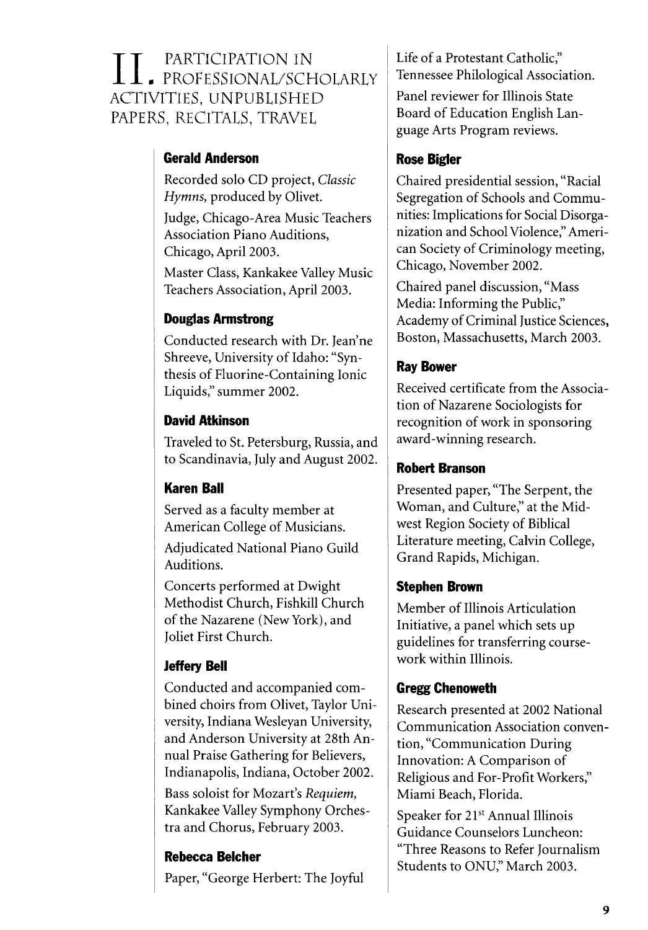#### the Participation in Participation<br>Activities, Unpublishe<br>Papers Recitals Trave!  $\blacksquare$  professional/scholarly ACTIVITIES. UNPUBLISHED PAPERS, RECITALS, TRAVEL

#### **Gerald Anderson**

Recorded solo CD project, *Classic Hymns,* produced by Olivet,

judge, Chicago-Area Music Teachers Association Piano Auditions, Chicago, April 2003.

Master Class, Kankakee Valley Music Teachers Association, April 2003.

#### **Douglas Armstrong**

Conducted research with Dr. jean'ne Shreeve, University of Idaho: "Synthesis of Fluorine-Containing Ionic Liquids," summer 2002.

#### **David Atkinson**

Traveled to St. Petersburg, Russia, and to Scandinavia, july and August 2002.

#### **Karen Ball**

Served as a faculty member at American College of Musicians.

Adjudicated National Piano Guild Auditions.

Concerts performed at Dwight Methodist Church, Fishkill Church of the Nazarene (New York), and joliet First Church.

#### **Jeffery Bell**

Conducted and accompanied combined choirs from Olivet, Taylor University, Indiana Wesleyan University, and Anderson University at 28th Annual Praise Gathering for Believers, Indianapolis, Indiana, October 2002.

Bass soloist for Mozart's *Requiem,* Kankakee Valley Symphony Orchestra and Chorus, February 2003.

#### **Rebecca Belcher**

Paper, "George Herbert: The joyful

Life of a Protestant Catholic," Tennessee Philological Association. Panel reviewer for Illinois State

Board of Education English Language Arts Program reviews.

#### **Rose Bigler**

Chaired presidential session, "Racial Segregation of Schools and Communities: Implications for Social Disorganization and School Violence," American Society of Criminology meeting, Chicago, November 2002.

Chaired panel discussion, "Mass Media: Informing the Public," Academy of Criminal justice Sciences, Boston, Massachusetts, March 2003.

#### **Ray Bower**

Received certificate from the Association of Nazarene Sociologists for recognition of work in sponsoring award-winning research.

#### **Robert Branson**

Presented paper, "The Serpent, the Woman, and Culture," at the Midwest Region Society of Biblical Literature meeting, Calvin College, Grand Rapids, Michigan.

#### **Stephen Brown**

Member of Illinois Articulation Initiative, a panel which sets up guidelines for transferring coursework within Illinois.

#### **Gregg Chenoweth**

Research presented at 2002 National Communication Association convention, "Communication During Innovation: A Comparison of Religious and For-Profit Workers," Miami Beach, Florida.

Speaker for 21<sup>st</sup> Annual Illinois Guidance Counselors Luncheon: "Three Reasons to Refer Journalism Students to ONU," March 2003.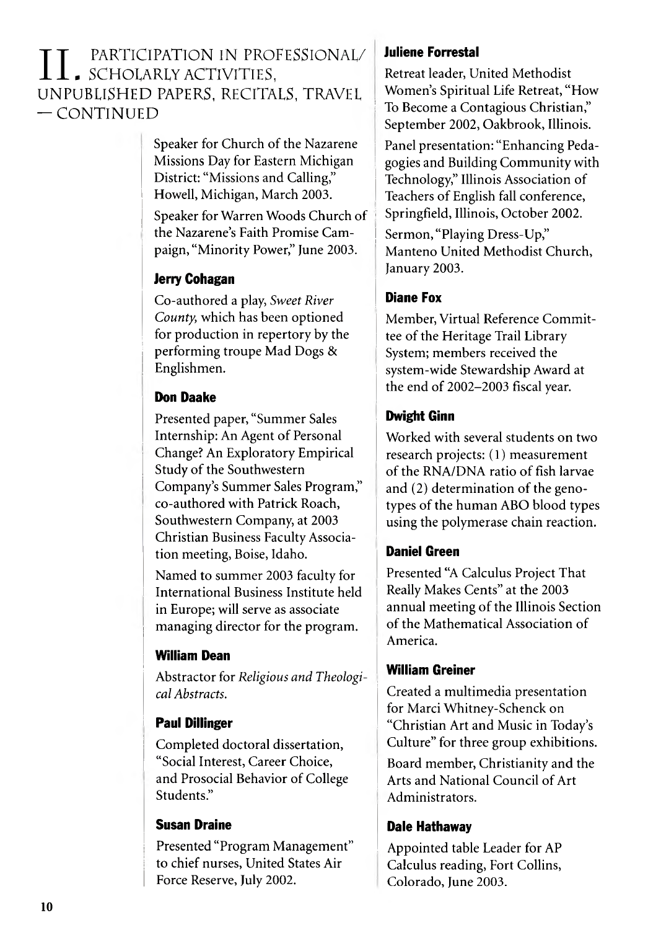#### $\prod$  , participation in professional/<br>unpublished papers, recitals, travel<br>— continued  $\bullet$  SCHOLARLY ACTIVITIES, UNPUBLISHED PAPERS, RECITALS, TRAVEL — CONTINUED

Speaker for Church of the Nazarene Missions Day for Eastern Michigan District: "Missions and Calling," Howell, Michigan, March 2003.

Speaker for Warren Woods Church of the Nazarene's Faith Promise Campaign, "Minority Power," June 2003.

#### **Jerry Cohagan**

Co-authored a play, *Sweet River County,* which has been optioned for production in repertory by the performing troupe Mad Dogs & Englishmen.

#### **Don Daake**

Presented paper, "Summer Sales Internship: An Agent of Personal Change? An Exploratory Empirical Study of the Southwestern Company's Summer Sales Program," co-authored with Patrick Roach, Southwestern Company, at 2003 Christian Business Faculty Association meeting, Boise, Idaho.

Named to summer 2003 faculty for International Business Institute held in Europe; will serve as associate managing director for the program.

#### **William Dean**

Abstractor for *Religious and Theological Abstracts.*

#### **Paul Dillinger**

Completed doctoral dissertation, "Social Interest, Career Choice, and Prosocial Behavior of College Students."

#### **Susan Draine**

Presented "Program Management" to chief nurses, United States Air Force Reserve, luly 2002.

#### **Juliene Forrestal**

Retreat leader, United Methodist Women's Spiritual Life Retreat, "How To Become a Contagious Christian," September 2002, Oakbrook, Illinois.

Panel presentation: "Enhancing Pedagogies and Building Community with Technology," Illinois Association of Teachers of English fall conference, | Springfield, Illinois, October 2002.

Sermon, "Playing Dress-Up," Manteno United Methodist Church, January 2003.

#### **Diane Fox**

Member, Virtual Reference Committee of the Heritage Trail Library System; members received the system-wide Stewardship Award at the end of 2002-2003 fiscal year.

#### **Dwight Ginn**

Worked with several students on two research projects: (1) measurement of the RNA/DNA ratio of fish larvae and (2) determination of the genotypes of the human ABO blood types using the polymerase chain reaction.

#### **Daniel Green**

Presented "A Calculus Project That Really Makes Cents" at the 2003 annual meeting of the Illinois Section of the Mathematical Association of America.

#### **William Greiner**

Created a multimedia presentation for Marci Whitney-Schenck on "Christian Art and Music in Today's Culture" for three group exhibitions.

Board member, Christianity and the Arts and National Council of Art Administrators.

#### **Dale Hathaway**

Appointed table Leader for AP Calculus reading, Fort Collins, Colorado, June 2003.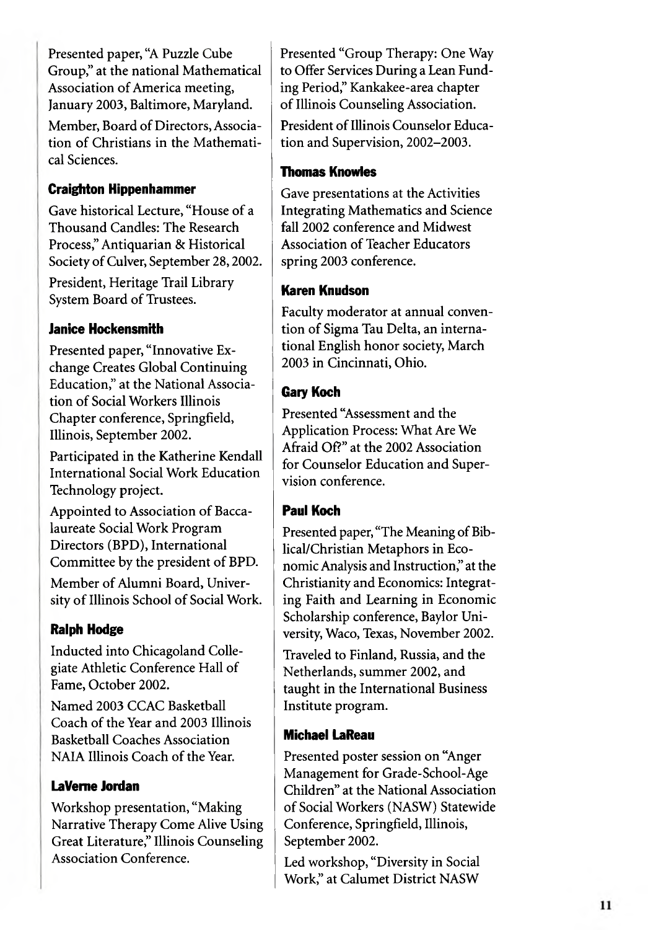Presented paper, "A Puzzle Cube Group," at the national Mathematical Association of America meeting, January 2003, Baltimore, Maryland.

Member, Board of Directors, Association of Christians in the Mathematical Sciences.

#### **Craighton Hippenhammer**

Gave historical Lecture, "House of a Thousand Candles: The Research Process," Antiquarian & Historical Society of Culver, September 28,2002.

President, Heritage Trail Library System Board of Trustees.

#### **Janice Hockensmith**

Presented paper, "Innovative Exchange Creates Global Continuing Education," at the National Association of Social Workers Illinois Chapter conference, Springfield, Illinois, September 2002.

Participated in the Katherine Kendall International Social Work Education Technology project.

Appointed to Association of Baccalaureate Social Work Program Directors (BPD), International Committee by the president of BPD.

Member of Alumni Board, University of Illinois School of Social Work.

#### **Ralph Hodge**

Inducted into Chicagoland Collegiate Athletic Conference Hall of Fame, October 2002.

Named 2003 CCAC Basketball Coach of the Year and 2003 Illinois Basketball Coaches Association NAIA Illinois Coach of the Year.

#### **LaVeme Jordan**

Workshop presentation, "Making Narrative Therapy Come Alive Using Great Literature," Illinois Counseling Association Conference.

Presented "Group Therapy: One Way to Offer Services During a Lean Funding Period," Kankakee-area chapter of Illinois Counseling Association.

President of Illinois Counselor Education and Supervision, 2002-2003.

#### **Thomas Knowles**

Gave presentations at the Activities Integrating Mathematics and Science fall 2002 conference and Midwest Association of Teacher Educators spring 2003 conference.

#### **Karen Knudson**

Faculty moderator at annual convention of Sigma Tau Delta, an international English honor society, March 2003 in Cincinnati, Ohio.

#### **Gary Koch**

Presented "Assessment and the Application Process: What Are We Afraid Of?" at the 2002 Association for Counselor Education and Supervision conference.

#### **Paul Koch**

Presented paper, "The Meaning of Biblical/Christian Metaphors in Economic Analysis and Instruction," at the Christianity and Economics: Integrating Faith and Learning in Economic Scholarship conference, Baylor University, Waco, Texas, November 2002.

Traveled to Finland, Russia, and the Netherlands, summer 2002, and taught in the International Business Institute program.

#### **Michael LaReau**

Presented poster session on "Anger Management for Grade-School-Age Children" at the National Association of Social Workers (NASW) Statewide Conference, Springfield, Illinois, September 2002.

Led workshop, "Diversity in Social Work," at Calumet District NASW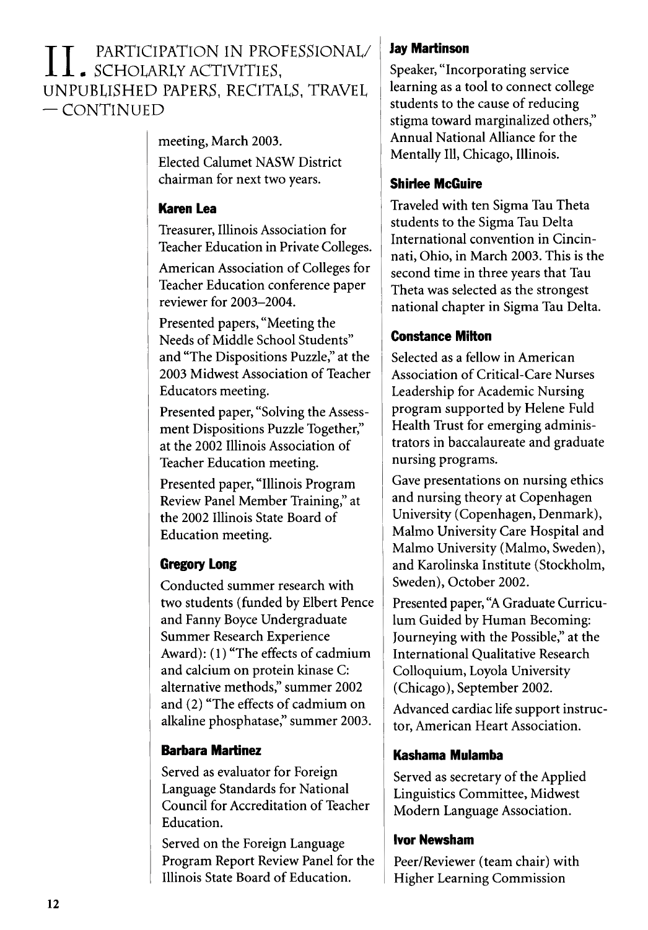#### $\prod$  , participation in professional/<br>unpublished papers, recitals, travel<br>— continued . SCHOLARLY ACTIVITIES, UNPUBLISHED PAPERS, RECITALS, TRAVEL — CONTINUED

meeting, March 2003.

Elected Calumet NASW District chairman for next two years.

#### **Karen Lea**

Treasurer, Illinois Association for Teacher Education in Private Colleges.

American Association of Colleges for Teacher Education conference paper reviewer for 2003-2004.

Presented papers, "Meeting the Needs of Middle School Students" and "The Dispositions Puzzle," at the 2003 Midwest Association of Teacher Educators meeting.

Presented paper, "Solving the Assessment Dispositions Puzzle Together," at the 2002 Illinois Association of Teacher Education meeting.

Presented paper, "Illinois Program Review Panel Member Training," at the 2002 Illinois State Board of Education meeting.

#### **Gregory Long**

Conducted summer research with two students (funded by Elbert Pence and Fanny Boyce Undergraduate Summer Research Experience Award): (1) "The effects of cadmium and calcium on protein kinase C: alternative methods," summer 2002 and (2) "The effects of cadmium on alkaline phosphatase," summer 2003.

#### **Barbara Martinez**

Served as evaluator for Foreign Language Standards for National Council for Accreditation of Teacher Education.

Served on the Foreign Language Program Report Review Panel for the Illinois State Board of Education.

#### **Jay Martinson**

Speaker, "Incorporating service learning as a tool to connect college students to the cause of reducing stigma toward marginalized others," Annual National Alliance for the Mentally 111, Chicago, Illinois.

#### **Shirlee McGuire**

Traveled with ten Sigma Tau Theta students to the Sigma Tau Delta International convention in Cincinnati, Ohio, in March 2003. This is the second time in three years that Tau Theta was selected as the strongest national chapter in Sigma Tau Delta.

#### **Constance Milton**

Selected as a fellow in American Association of Critical-Care Nurses Leadership for Academic Nursing program supported by Helene Fuld Health Trust for emerging administrators in baccalaureate and graduate nursing programs.

Gave presentations on nursing ethics and nursing theory at Copenhagen University (Copenhagen, Denmark), Malmo University Care Hospital and Malmo University (Malmo, Sweden), and Karolinska Institute (Stockholm, Sweden), October 2002.

Presented paper, "A Graduate Curriculum Guided by Human Becoming: Journeying with the Possible," at the International Qualitative Research Colloquium, Loyola University (Chicago), September 2002.

Advanced cardiac life support instructor, American Heart Association.

#### **Kashama Mulamba**

Served as secretary of the Applied Linguistics Committee, Midwest Modern Language Association.

#### **Ivor Newsham**

Peer/Reviewer (team chair) with Higher Learning Commission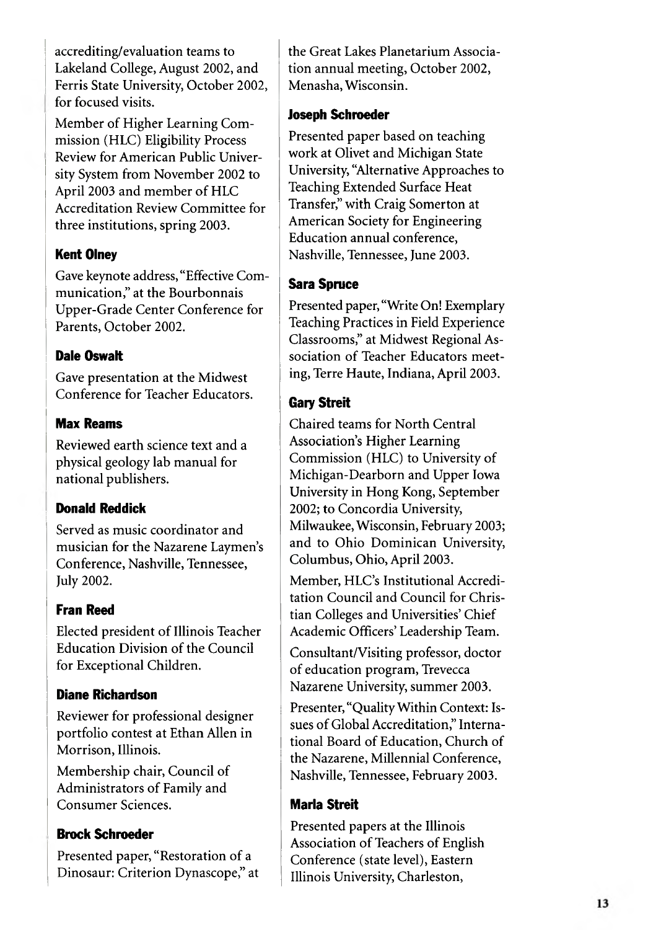accrediting/evaluation teams to Lakeland College, August 2002, and Ferris State University, October 2002, for focused visits.

Member of Higher Learning Commission (HLC) Eligibility Process Review for American Public University System from November 2002 to April 2003 and member of HLC Accreditation Review Committee for three institutions, spring 2003.

#### **Kent Olney**

Gave keynote address, "Effective Communication," at the Bourbonnais Upper-Grade Center Conference for Parents, October 2002.

#### **Dale Oswalt**

Gave presentation at the Midwest Conference for Teacher Educators.

#### **Max Reams**

Reviewed earth science text and a physical geology lab manual for national publishers.

#### **Donald Reddick**

Served as music coordinator and musician for the Nazarene Laymen's Conference, Nashville, Tennessee, July 2002.

#### **Fran Reed**

Elected president of Illinois Teacher Education Division of the Council for Exceptional Children.

#### **Diane Richardson**

Reviewer for professional designer portfolio contest at Ethan Allen in Morrison, Illinois.

Membership chair, Council of Administrators of Family and Consumer Sciences.

#### **Brock Schroeder**

Presented paper, "Restoration of a Dinosaur: Criterion Dynascope," at the Great Lakes Planetarium Association annual meeting, October 2002, Menasha, Wisconsin.

#### **Joseph Schroeder**

Presented paper based on teaching work at Olivet and Michigan State University, "Alternative Approaches to Teaching Extended Surface Heat Transfer," with Craig Somerton at American Society for Engineering Education annual conference, Nashville, Tennessee, June 2003.

#### **Sara Spruce**

Presented paper, "Write On! Exemplary Teaching Practices in Field Experience Classrooms," at Midwest Regional Association of Teacher Educators meeting, Terre Haute, Indiana, April 2003.

#### **Gary Streit**

Chaired teams for North Central Association's Higher Learning Commission (HLC) to University of Michigan-Dearborn and Upper Iowa University in Hong Kong, September 2002; to Concordia University, Milwaukee, Wisconsin, February 2003; and to Ohio Dominican University, Columbus, Ohio, April 2003.

Member, HLC's Institutional Accreditation Council and Council for Christian Colleges and Universities' Chief Academic Officers' Leadership Team.

Consultant/Visiting professor, doctor of education program, Trevecca Nazarene University, summer 2003.

Presenter, "Quality Within Context: Issues of Global Accreditation," International Board of Education, Church of the Nazarene, Millennial Conference, Nashville, Tennessee, February 2003.

#### **Marla Streit**

Presented papers at the Illinois Association of Teachers of English Conference (state level), Eastern Illinois University, Charleston,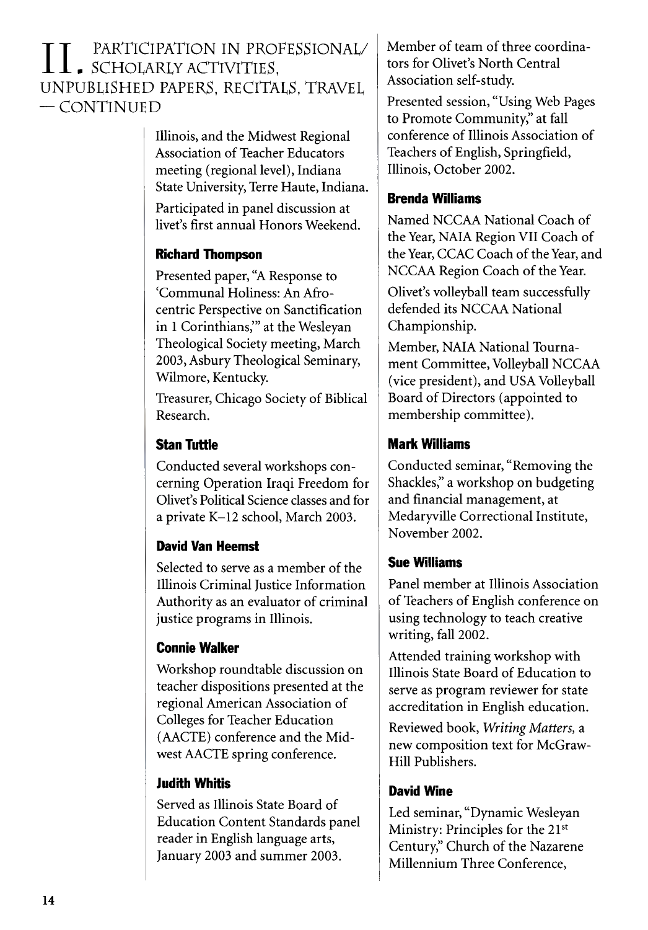#### II, PARTICIPATION IN PROFESSIONAL/<br>Unpublished Papers, recitals, travel<br>— Continued  $\bullet$  SCHOLARLY ACTIVITIES, UNPUBLISHED PAPERS, RECITALS, TRAVEL  $-$  CONTINUED

Illinois, and the Midwest Regional Association of Teacher Educators meeting (regional level), Indiana State University, Terre Haute, Indiana.

Participated in panel discussion at livet's first annual Honors Weekend.

#### **Richard Thompson**

Presented paper, "A Response to 'Communal Holiness: An Afrocentric Perspective on Sanctification in 1 Corinthians,'" at the Wesleyan Theological Society meeting, March 2003, Asbury Theological Seminary, Wilmore, Kentucky.

Treasurer, Chicago Society of Biblical Research.

#### **Stan Tuttle**

Conducted several workshops concerning Operation Iraqi Freedom for Olivet's Political Science classes and for a private K-12 school, March 2003.

#### **David Van Heemst**

Selected to serve as a member of the Illinois Criminal fustice Information Authority as an evaluator of criminal justice programs in Illinois.

#### **Connie Walker**

Workshop roundtable discussion on teacher dispositions presented at the regional American Association of Colleges for Teacher Education (AACTE) conference and the Midwest AACTE spring conference.

#### **Judith Whitis**

Served as Illinois State Board of Education Content Standards panel reader in English language arts, January 2003 and summer 2003.

Member of team of three coordinators for Olivet's North Central Association self-study.

Presented session, "Using Web Pages to Promote Community," at fall conference of Illinois Association of Teachers of English, Springfield, Illinois, October 2002.

#### **Brenda Williams**

Named NCCAA National Coach of the Year, NAIA Region VII Coach of the Year, CCAC Coach of the Year, and NCCAA Region Coach of the Year.

Olivet's volleyball team successfully defended its NCCAA National Championship.

Member, NAIA National Tournament Committee, Volleyball NCCAA (vice president), and USA Volleyball Board of Directors (appointed to membership committee).

#### **Mark Williams**

Conducted seminar, "Removing the Shackles," a workshop on budgeting and financial management, at Medaryville Correctional Institute, November 2002.

#### **Sue Williams**

Panel member at Illinois Association of Teachers of English conference on using technology to teach creative writing, fall 2002.

Attended training workshop with Illinois State Board of Education to serve as program reviewer for state accreditation in English education.

Reviewed book, *Writing Matters,* a new composition text for McGraw-Hill Publishers.

#### **David Wine**

Led seminar, "Dynamic Wesleyan Ministry: Principles for the 21st Century," Church of the Nazarene Millennium Three Conference,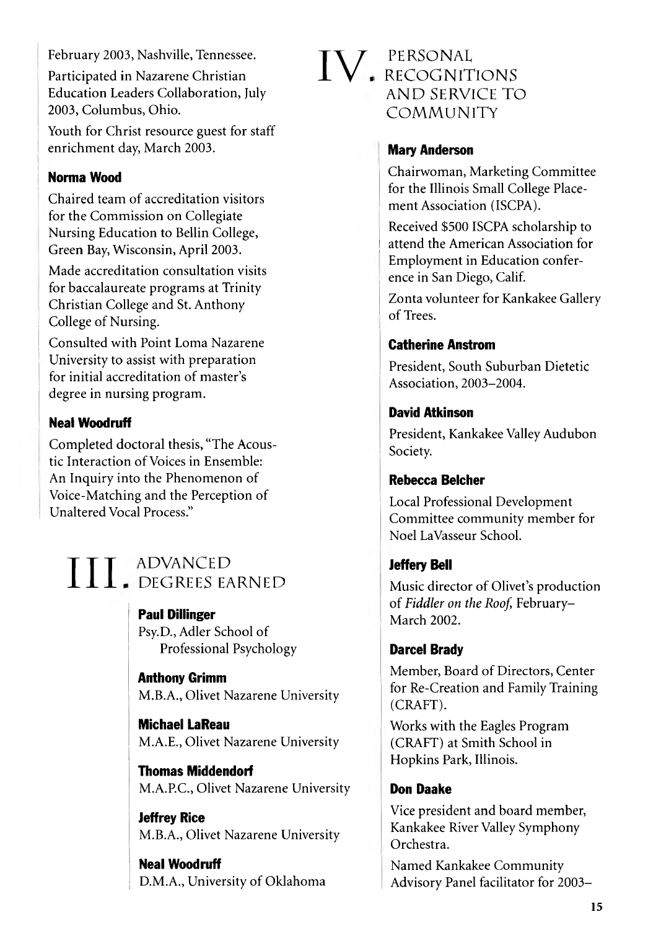February 2003, Nashville, Tennessee.

Participated in Nazarene Christian Education Leaders Collaboration, July 2003, Columbus, Ohio.

Youth for Christ resource guest for staff enrichment day, March 2003.

#### **Norma Wood**

Chaired team of accreditation visitors for the Commission on Collegiate Nursing Education to Bellin College, Green Bay, Wisconsin, April 2003.

Made accreditation consultation visits for baccalaureate programs at Trinity Christian College and St. Anthony College of Nursing.

Consulted with Point Loma Nazarene University to assist with preparation for initial accreditation of master's degree in nursing program.

#### **Neal Woodruff**

Completed doctoral thesis, "The Acoustic Interaction of Voices in Ensemble: An Inquiry into the Phenomenon of Voice-Matching and the Perception of Unaltered Vocal Process."

# **Ill** ADVANCED DEGREES EARNED

#### **Paul Dillinger**

Psy.D., Adler School of Professional Psychology

#### **Anthony Grimm**

M.B.A., Olivet Nazarene University

**Michael LaReau** M.A.E., Olivet Nazarene University

**Thomas Middendorf** M.A.P.C., Olivet Nazarene University

**Jeffrey Rice** M.B.A., Olivet Nazarene University

**Neal Woodruff** D.M.A., University of Oklahoma

#### **IV** RECOGNIT RECOGNITIONS AND SERVICE TO COMMUNITY

#### **Mary Anderson**

Chairwoman, Marketing Committee for the Illinois Small College Placement Association (ISCPA).

Received \$500 ISCPA scholarship to attend the American Association for Employment in Education conference in San Diego, Calif.

Zonta volunteer for Kankakee Gallery of Trees.

#### **Catherine Anstrom**

President, South Suburban Dietetic Association, 2003-2004.

#### **David Atkinson**

President, Kankakee Valley Audubon Society.

#### **Rebecca Belcher**

Local Professional Development Committee community member for Noel LaVasseur School.

#### **Jeffery Bell**

Music director of Olivet's production of *Fiddler on the Roof,* February-March 2002.

#### **Darcel Brady**

Member, Board of Directors, Center for Re-Creation and Family Training (CRAFT).

Works with the Eagles Program (CRAFT) at Smith School in Hopkins Park, Illinois.

#### **Don Daake**

Vice president and board member, Kankakee River Valley Symphony Orchestra.

Named Kankakee Community Advisory Panel facilitator for 2003-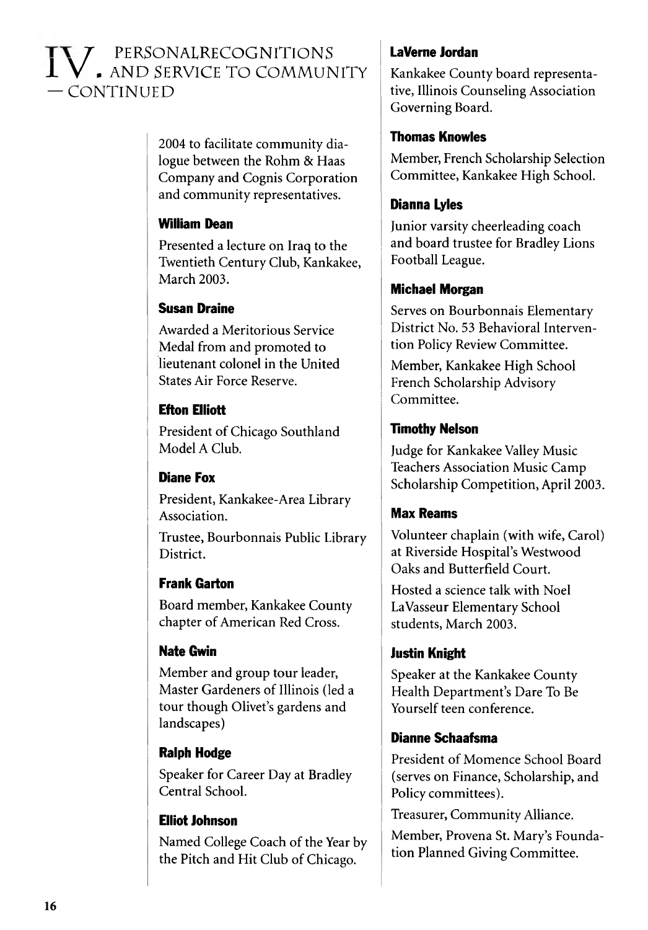# $\text{IV}$  PERSONALRECOGNITIONS<br>IV . AND SERVICE TO COMMUNITY — CONTINUED

2004 to facilitate community dialogue between the Rohm & Haas Company and Cognis Corporation and community representatives.

#### **William Dean**

Presented a lecture on Iraq to the Twentieth Century Club, Kankakee, March 2003.

#### **Susan Draine**

Awarded a Meritorious Service Medal from and promoted to lieutenant colonel in the United States Air Force Reserve.

#### **Efton Elliott**

President of Chicago Southland Model A Club.

#### **Diane Fox**

President, Kankakee-Area Library Association.

Trustee, Bourbonnais Public Library District.

#### **Frank Garton**

Board member, Kankakee County chapter of American Red Cross.

#### **Nate Gwin**

Member and group tour leader, Master Gardeners of Illinois (led a tour though Olivet's gardens and landscapes)

#### **Ralph Hodge**

Speaker for Career Day at Bradley Central School.

#### **Elliot Johnson**

Named College Coach of the Year by the Pitch and Hit Club of Chicago.

#### **LaVerne Jordan**

Kankakee County board representative, Illinois Counseling Association Governing Board.

#### **Thomas Knowles**

Member, French Scholarship Selection Committee, Kankakee High School.

#### **Dianna Lyles**

Junior varsity cheerleading coach and board trustee for Bradley Lions Football League.

#### **Michael Morgan**

Serves on Bourbonnais Elementary District No. 53 Behavioral Intervention Policy Review Committee.

Member, Kankakee High School French Scholarship Advisory Committee.

#### **Timothy Nelson**

Judge for Kankakee Valley Music Teachers Association Music Camp Scholarship Competition, April 2003.

#### **Max Reams**

Volunteer chaplain (with wife, Carol) at Riverside Hospital's Westwood Oaks and Butterfield Court.

Hosted a science talk with Noel LaVasseur Elementary School students, March 2003.

#### **Justin Knight**

Speaker at the Kankakee County Health Department's Dare To Be Yourself teen conference.

#### **Dianne Schaafsma**

President of Momence School Board (serves on Finance, Scholarship, and Policy committees).

Treasurer, Community Alliance.

Member, Provena St. Mary's Foundation Planned Giving Committee.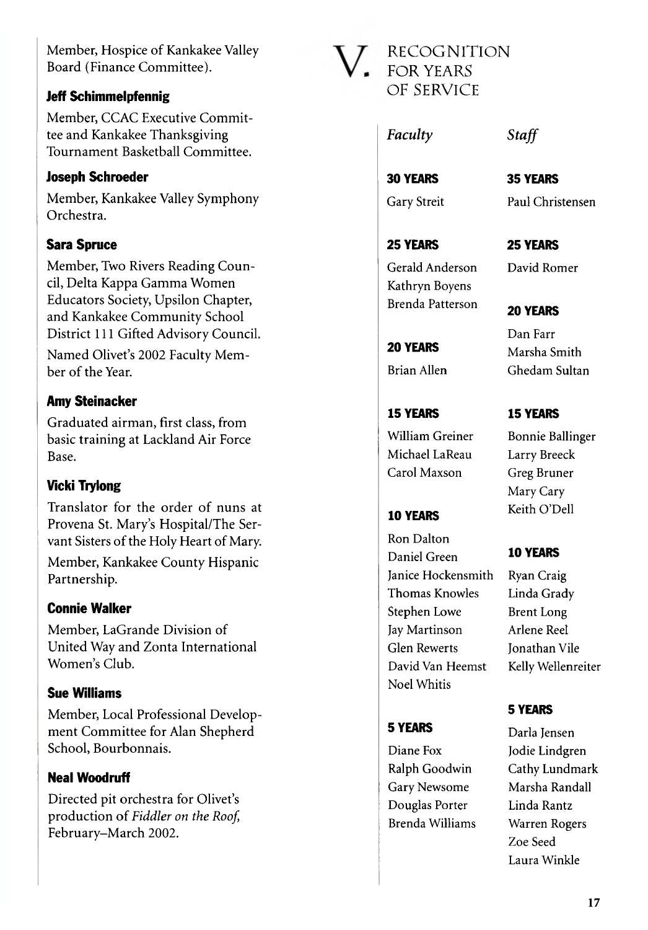Member, Hospice of Kankakee Valley Board (Finance Committee).

#### **Jeff Schimmelpfennig**

Member, CCAC Executive Committee and Kankakee Thanksgiving Tournament Basketball Committee.

#### **Joseph Schroeder**

Member, Kankakee Valley Symphony Orchestra.

#### **Sara Spruce**

Member, Two Rivers Reading Council, Delta Kappa Gamma Women Educators Society, Upsilon Chapter, and Kankakee Community School District 111 Gifted Advisory Council.

Named Olivet's 2002 Faculty Member of the Year.

#### **Amy Steinacker**

Graduated airman, first class, from basic training at Lackland Air Force Base.

#### **Vicki Trylong**

Translator for the order of nuns at Provena St. Mary's Hospital/The Servant Sisters of the Holy Heart of Mary.

Member, Kankakee County Hispanic Partnership.

#### **Connie Walker**

Member, LaGrande Division of United Way and Zonta International Women's Club.

#### **Sue Williams**

Member, Local Professional Development Committee for Alan Shepherd School, Bourbonnais.

#### **Neal Woodruff**

Directed pit orchestra for Olivet's production of *Fiddler on the Roof,* February-March 2002.

RECOGNITION FOR YEARS OF SERVICE

*Faculty*

```
Staff
```
**30 YEARS** Gary Streit **35 YEARS** Paul Christensen

**25 YEARS** Gerald Anderson Kathryn Boyens Brenda Patterson

David Romer

**25 YEARS**

**20 YEARS** Dan Farr Marsha Smith Ghedam Sultan

**20 YEARS**

Brian Allen

**15 YEARS** William Greiner Michael LaReau Carol Maxson

#### **10 YEARS**

Ron Dalton Daniel Green Janice Hockensmith Thomas Knowles Stephen Lowe Jay Martinson Glen Rewerts David Van Heemst Noel Whitis

#### **5 YEARS**

Diane Fox Ralph Goodwin Gary Newsome Douglas Porter Brenda Williams

#### **15 YEARS**

Bonnie Ballinger Larry Breeck Greg Bruner Mary Cary Keith O'Dell

#### **10 YEARS**

Ryan Craig Linda Grady Brent Long Arlene Reel Jonathan Vile Kelly Wellenreiter

#### **5 YEARS**

Darla Jensen Jodie Lindgren Cathy Lundmark Marsha Randall Linda Rantz Warren Rogers Zoe Seed Laura Winkle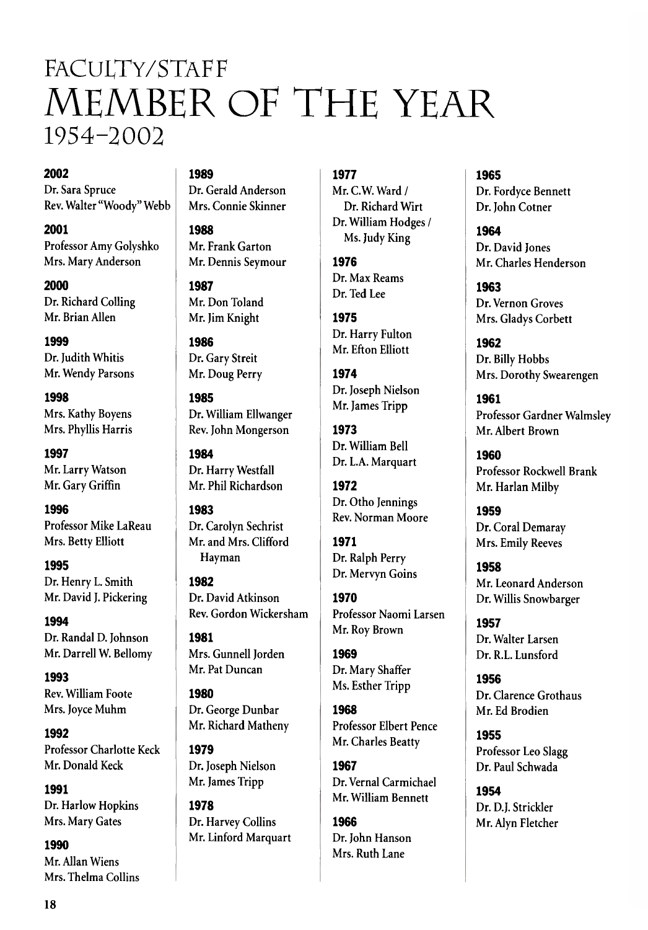# FaCULTy/STaFF MEMBER OF THE YEAR 1954-2002

#### **2002**

Dr. Sara Spruce Rev. Walter "Woody" Webb

#### 2001

Professor Amy Golyshko Mrs. Mary Anderson

2000 Dr. Richard Colling Mr. Brian Allen

**1999** Dr. Judith Whitis Mr. Wendy Parsons

**1998** Mrs. Kathy Boyens Mrs. Phyllis Harris

**1997** Mr. Larry Watson Mr. Gary Griffin

**1996** Professor Mike LaReau Mrs. Betty Elliott

**1995** Dr. Henry L. Smith Mr. David J. Pickering

**1994** Dr. Randal D. Johnson Mr. Darrell W. Bellomy

**1993** Rev. William Foote Mrs. Joyce Muhm

**1992** Professor Charlotte Keck Mr. Donald Keck

**1991** Dr. Harlow Hopkins Mrs. Mary Gates

**1990** Mr. Allan Wiens Mrs. Thelma Collins **1989**

Dr. Gerald Anderson Mrs. Connie Skinner

**1988** Mr. Frank Garton Mr. Dennis Seymour

**1987** Mr. Don Toland Mr. Jim Knight

**1986** Dr. Gary Streit Mr. Doug Perry

**1985** Dr. William Ellwanger Rev. John Mongerson

**1984** Dr. Harry Westfall Mr. Phil Richardson

**1983** Dr. Carolyn Sechrist Mr. and Mrs. Clifford Hayman

**1982** Dr. David Atkinson Rev. Gordon Wickersham

**1981** Mrs. Gunnell Jorden Mr. Pat Duncan

**1980** Dr. George Dunbar Mr. Richard Matheny

**1979** Dr. Joseph Nielson Mr. James Tripp

**1978** Dr. Harvey Collins Mr. Linford Marquart

#### **1977**

Mr. C.W. Ward / Dr. Richard Wirt Dr. William Hodges / Ms. Judy King

**1976** Dr. Max Reams Dr. Ted Lee

**1975** Dr. Harry Fulton Mr. Efton Elliott

**1974** Dr. Joseph Nielson Mr. James Tripp

**1973** Dr. William Bell Dr. L.A. Marquart

**1972** Dr. Otho Jennings Rev. Norman Moore

**1971** Dr. Ralph Perry Dr. Mervyn Goins

**1970** Professor Naomi Larsen Mr. Roy Brown

**1969** Dr. Mary Shaffer Ms. Esther Tripp

**1968** Professor Elbert Pence Mr. Charles Beatty

**1967** Dr. Vernal Carmichael Mr. William Bennett

**1966** Dr. John Hanson Mrs. Ruth Lane

**1965** Dr. Fordyce Bennett Dr. John Cotner

**1964** Dr. David Jones Mr. Charles Henderson

**1963** Dr. Vernon Groves Mrs. Gladys Corbett

**1962** Dr. Billy Hobbs Mrs. Dorothy Swearengen

**1961** Professor Gardner Walmsley Mr. Albert Brown

**1960** Professor Rockwell Brank Mr. Harlan Milby

**1959** Dr. Coral Demaray Mrs. Emily Reeves

**1958** Mr. Leonard Anderson Dr. Willis Snowbarger

**1957** Dr. Walter Larsen Dr. R.L. Lunsford

**1956** Dr. Clarence Grothaus Mr. Ed Brodien

**1955** Professor Leo Slagg Dr. Paul Schwada

**1954** Dr. D.J. Strickler Mr. Alyn Fletcher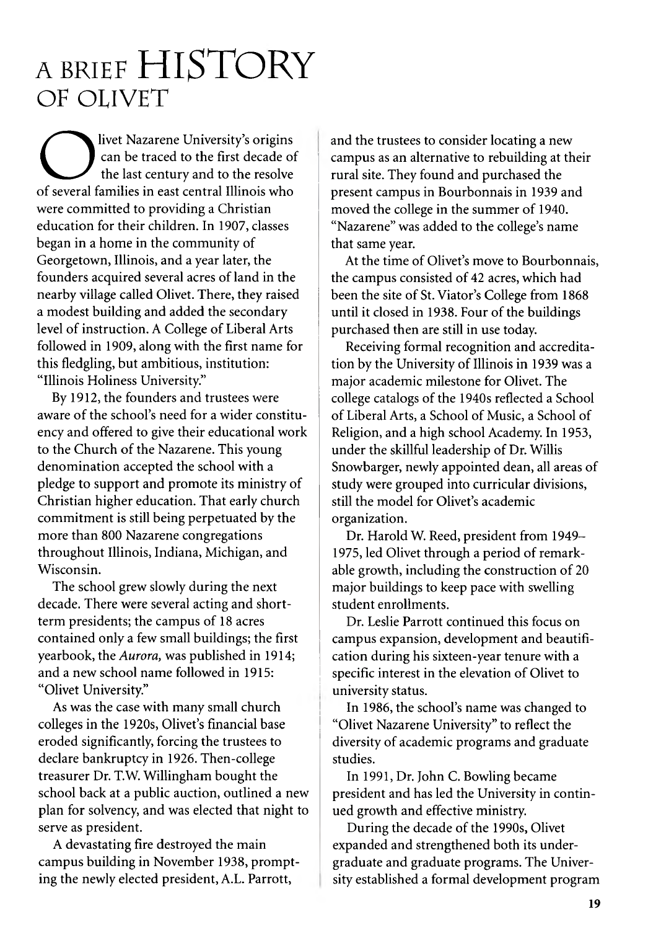# A BRIEF HISTORY OF OLIVET

OF Several families in east central Illinois who several families in east central Illinois who present and the several families in east central Illinois who present and the several families in east central Illinois who see livet Nazarene University's origins can be traced to the first decade of the last century and to the resolve were committed to providing a Christian education for their children. In 1907, classes began in a home in the community of Georgetown, Illinois, and a year later, the founders acquired several acres of land in the nearby village called Olivet. There, they raised a modest building and added the secondary level of instruction. A College of Liberal Arts followed in 1909, along with the first name for this fledgling, but ambitious, institution: "Illinois Holiness University."

By 1912, the founders and trustees were aware of the school's need for a wider constituency and offered to give their educational work to the Church of the Nazarene. This young denomination accepted the school with a pledge to support and promote its ministry of Christian higher education. That early church commitment is still being perpetuated by the more than 800 Nazarene congregations throughout Illinois, Indiana, Michigan, and Wisconsin.

The school grew slowly during the next decade. There were several acting and shortterm presidents; the campus of 18 acres contained only a few small buildings; the first yearbook, the *Aurora,* was published in 1914; and a new school name followed in 1915: "Olivet University."

As was the case with many small church colleges in the 1920s, Olivet's financial base eroded significantly, forcing the trustees to declare bankruptcy in 1926. Then-college treasurer Dr. T.W. Willingham bought the school back at a public auction, outlined a new plan for solvency, and was elected that night to serve as president.

A devastating fire destroyed the main campus building in November 1938, prompting the newly elected president, A.L. Parrott,

and the trustees to consider locating a new campus as an alternative to rebuilding at their rural site. They found and purchased the present campus in Bourbonnais in 1939 and moved the college in the summer of 1940. "Nazarene" was added to the college's name that same year.

At the time of Olivet's move to Bourbonnais, the campus consisted of 42 acres, which had been the site of St. Viator's College from 1868 until it closed in 1938. Four of the buildings purchased then are still in use today.

Receiving formal recognition and accreditation by the University of Illinois in 1939 was a major academic milestone for Olivet. The college catalogs of the 1940s reflected a School of Liberal Arts, a School of Music, a School of Religion, and a high school Academy. In 1953, under the skillful leadership of Dr. Willis Snowbarger, newly appointed dean, all areas of study were grouped into curricular divisions, still the model for Olivet's academic organization.

Dr. Harold W. Reed, president from 1949- 1975, led Olivet through a period of remarkable growth, including the construction of 20 major buildings to keep pace with swelling student enrollments.

Dr. Leslie Parrott continued this focus on campus expansion, development and beautification during his sixteen-year tenure with a specific interest in the elevation of Olivet to university status.

In 1986, the school's name was changed to "Olivet Nazarene University" to reflect the diversity of academic programs and graduate studies.

In 1991, Dr. John C. Bowling became president and has led the University in continued growth and effective ministry.

During the decade of the 1990s, Olivet expanded and strengthened both its undergraduate and graduate programs. The University established a formal development program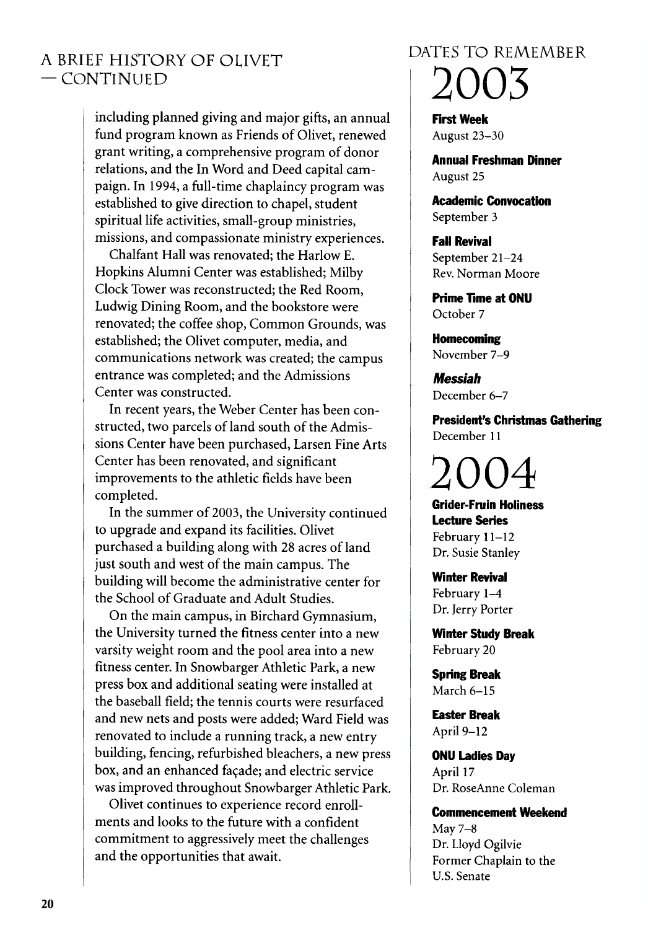#### A BRIEF HISTORY OF OLIVET  $-$  CONTINUED

including planned giving and major gifts, an annual fund program known as Friends of Olivet, renewed grant writing, a comprehensive program of donor relations, and the In Word and Deed capital campaign. In 1994, a full-time chaplaincy program was established to give direction to chapel, student spiritual life activities, small-group ministries, missions, and compassionate ministry experiences.

Chalfant Hall was renovated; the Harlow E. Hopkins Alumni Center was established; Milby Clock Tower was reconstructed; the Red Room, Ludwig Dining Room, and the bookstore were renovated; the coffee shop, Common Grounds, was established; the Olivet computer, media, and communications network was created; the campus entrance was completed; and the Admissions Center was constructed.

In recent years, the Weber Center has been constructed, two parcels of land south of the Admissions Center have been purchased, Larsen Fine Arts Center has been renovated, and significant improvements to the athletic fields have been completed.

In the summer of 2003, the University continued to upgrade and expand its facilities. Olivet purchased a building along with 28 acres of land just south and west of the main campus. The building will become the administrative center for the School of Graduate and Adult Studies.

On the main campus, in Birchard Gymnasium, the University turned the fitness center into a new varsity weight room and the pool area into a new fitness center. In Snowbarger Athletic Park, a new press box and additional seating were installed at the baseball field; the tennis courts were resurfaced and new nets and posts were added; Ward Field was renovated to include a running track, a new entry building, fencing, refurbished bleachers, a new press box, and an enhanced facade; and electric service was improved throughout Snowbarger Athletic Park.

Olivet continues to experience record enrollments and looks to the future with a confident commitment to aggressively meet the challenges and the opportunities that await.

# DATES TO REMEMBER 2003

**First Week** August 23-30

**Annual Freshman Dinner** August 25

**Academic Convocation** September 3

**Fall Revival** September 21-24 Rev. Norman Moore

**Prime Time at ONU** October 7

**Homecoming** November 7-9

*Messiah* December 6-7

**President's Christmas Gathering** December 11

# 2004

**Grider-Fruin Holiness Lecture Series** February 11-12 Dr. Susie Stanley

**Winter Revival** February 1-4 Dr. Jerry Porter

**Winter Study Break** February 20

**Spring Break** March 6-15

**Easter Break** April 9-12

**ONU Ladies Day** April 17 Dr. RoseAnne Coleman

**Commencement Weekend** May 7-8 Dr. Lloyd Ogilvie Former Chaplain to the U.S. Senate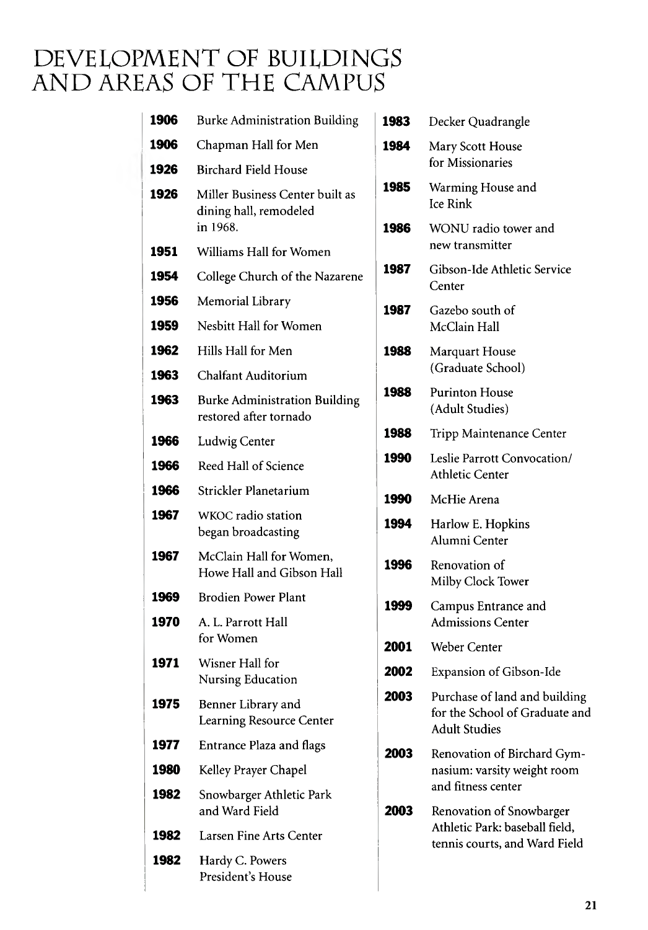### DEVELOPMENT OF BUILDINGS AND AREAS OF THE CAMPUS

| 1906 | <b>Burke Administration Building</b>                           | 1983 | Decke                    |
|------|----------------------------------------------------------------|------|--------------------------|
| 1906 | Chapman Hall for Men                                           | 1984 | Mary                     |
| 1926 | <b>Birchard Field House</b>                                    |      | for $M$                  |
| 1926 | Miller Business Center built as<br>dining hall, remodeled      | 1985 | Warm<br>Ice Rii          |
|      | in 1968.                                                       | 1986 | <b>WON</b>               |
| 1951 | Williams Hall for Women                                        |      | new ti                   |
| 1954 | College Church of the Nazarene                                 | 1987 | Gibso<br>Cente           |
| 1956 | Memorial Library                                               | 1987 | Gazeb                    |
| 1959 | Nesbitt Hall for Women                                         |      | McCla                    |
| 1962 | Hills Hall for Men                                             | 1988 | Marqı                    |
| 1963 | Chalfant Auditorium                                            |      | (Grad                    |
| 1963 | <b>Burke Administration Building</b><br>restored after tornado | 1988 | Purin<br>(Adul           |
| 1966 | Ludwig Center                                                  | 1988 | Tripp                    |
| 1966 | Reed Hall of Science                                           | 1990 | Leslie<br>Athlet         |
| 1966 | Strickler Planetarium                                          | 1990 | McHi                     |
| 1967 | WKOC radio station<br>began broadcasting                       | 1994 | Harlo<br>Alum            |
| 1967 | McClain Hall for Women,<br>Howe Hall and Gibson Hall           | 1996 | Renoy<br>Milby           |
| 1969 | Brodien Power Plant                                            | 1999 | Camp                     |
| 1970 | A. L. Parrott Hall                                             |      | Admi                     |
|      | for Women                                                      | 2001 | Webe                     |
| 1971 | Wisner Hall for<br>Nursing Education                           | 2002 | Expar                    |
| 1975 | Benner Library and<br>Learning Resource Center                 | 2003 | Purch<br>for th<br>Adult |
| 1977 | <b>Entrance Plaza and flags</b>                                |      |                          |
| 1980 | Kelley Prayer Chapel                                           | 2003 | Reno<br>nasiu            |
| 1982 | Snowbarger Athletic Park                                       |      | and fi                   |
|      | and Ward Field                                                 | 2003 | <b>Reno</b>              |
| 1982 | Larsen Fine Arts Center                                        |      | Athle<br>tennis          |
| 1982 | Hardy C. Powers<br>President's House                           |      |                          |
|      |                                                                |      |                          |

| 1983 | Decker Quadrangle                                                                           |  |
|------|---------------------------------------------------------------------------------------------|--|
| 1984 | Mary Scott House<br>for Missionaries                                                        |  |
| 1985 | Warming House and<br>Ice Rink                                                               |  |
| 1986 | WONU radio tower and<br>new transmitter                                                     |  |
| 1987 | Gibson-Ide Athletic Service<br>Center                                                       |  |
| 1987 | Gazebo south of<br>McClain Hall                                                             |  |
| 1988 | Marquart House<br>(Graduate School)                                                         |  |
| 1988 | <b>Purinton House</b><br>(Adult Studies)                                                    |  |
| 1988 | Tripp Maintenance Center                                                                    |  |
| 1990 | Leslie Parrott Convocation/<br><b>Athletic Center</b>                                       |  |
| 1990 | McHie Arena                                                                                 |  |
| 1994 | Harlow E. Hopkins<br>Alumni Center                                                          |  |
| 1996 | Renovation of<br>Milby Clock Tower                                                          |  |
| 1999 | Campus Entrance and<br><b>Admissions Center</b>                                             |  |
| 2001 | Weber Center                                                                                |  |
| 2002 | Expansion of Gibson-Ide                                                                     |  |
| 2003 | Purchase of land and building<br>for the School of Graduate and<br><b>Adult Studies</b>     |  |
| 2003 | Renovation of Birchard Gym-<br>nasium: varsity weight room<br>and fitness center            |  |
| 2003 | Renovation of Snowbarger<br>Athletic Park: baseball field,<br>tennis courts, and Ward Field |  |